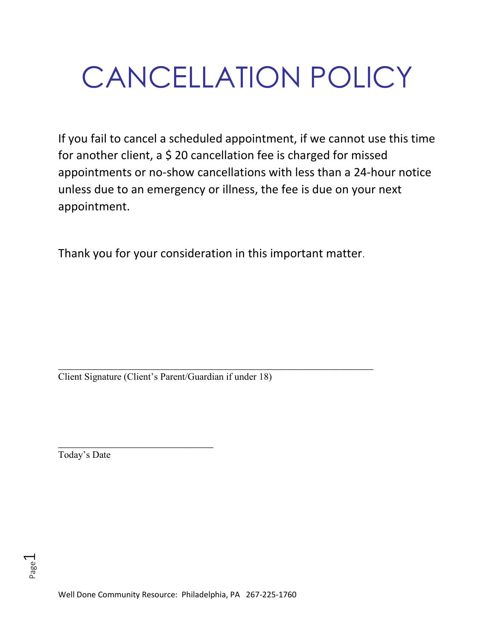# CANCELLATION POLICY

If you fail to cancel a scheduled appointment, if we cannot use this time for another client, a \$ 20 cancellation fee is charged for missed appointments or no-show cancellations with less than a 24-hour notice unless due to an emergency or illness, the fee is due on your next appointment.

Thank you for your consideration in this important matter.

\_\_\_\_\_\_\_\_\_\_\_\_\_\_\_\_\_\_\_\_\_\_\_\_\_\_\_\_\_\_\_\_\_\_\_\_\_\_\_\_\_\_\_\_\_\_\_\_\_\_\_\_\_\_\_\_\_\_\_\_\_\_\_\_\_ Client Signature (Client's Parent/Guardian if under 18)

\_\_\_\_\_\_\_\_\_\_\_\_\_\_\_\_\_\_\_\_\_\_\_\_\_\_\_\_\_\_\_\_

Today's Date

Page  $\overline{\phantom{0}}$